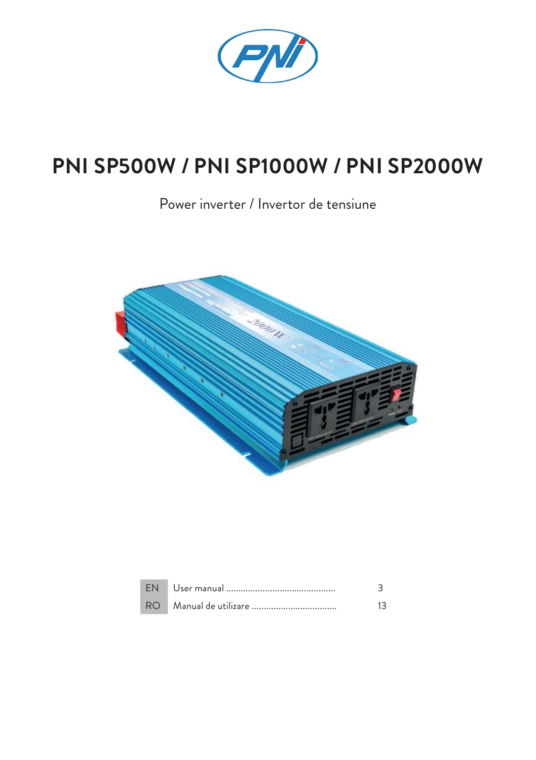

## **PNI SP500W / PNI SP1000W / PNI SP2000W**

Power inverter / Invertor de tensiune



| FN.  |  |
|------|--|
| RO I |  |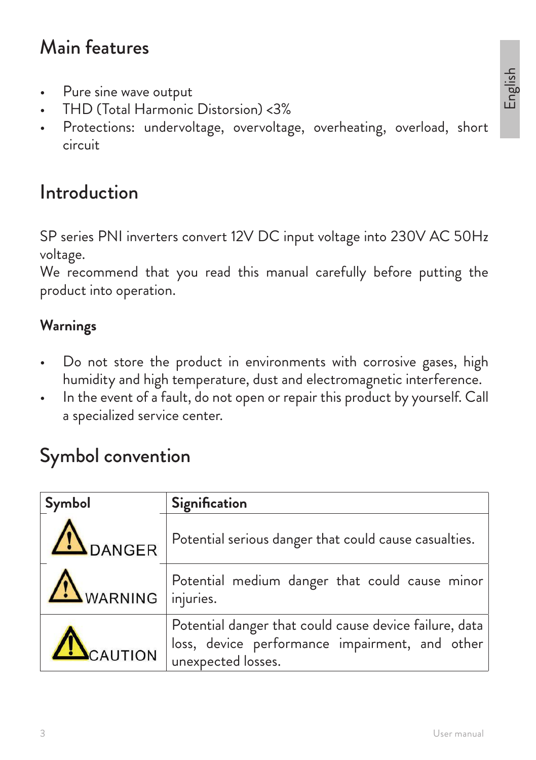## Main features

- Pure sine wave output
- THD (Total Harmonic Distorsion) <3%
- Protections: undervoltage, overvoltage, overheating, overload, short circuit

## Introduction

SP series PNI inverters convert 12V DC input voltage into 230V AC 50Hz voltage.

We recommend that you read this manual carefully before putting the product into operation.

#### **Warnings**

- Do not store the product in environments with corrosive gases, high humidity and high temperature, dust and electromagnetic interference.
- In the event of a fault, do not open or repair this product by yourself. Call a specialized service center.

## Symbol convention

| Symbol            | Signification                                                                                                                    |  |  |
|-------------------|----------------------------------------------------------------------------------------------------------------------------------|--|--|
| <b>IN</b> DANGER  | Potential serious danger that could cause casualties.                                                                            |  |  |
| WARNING injuries. | Potential medium danger that could cause minor                                                                                   |  |  |
| CAUTION           | Potential danger that could cause device failure, data  <br>loss, device performance impairment, and other<br>unexpected losses. |  |  |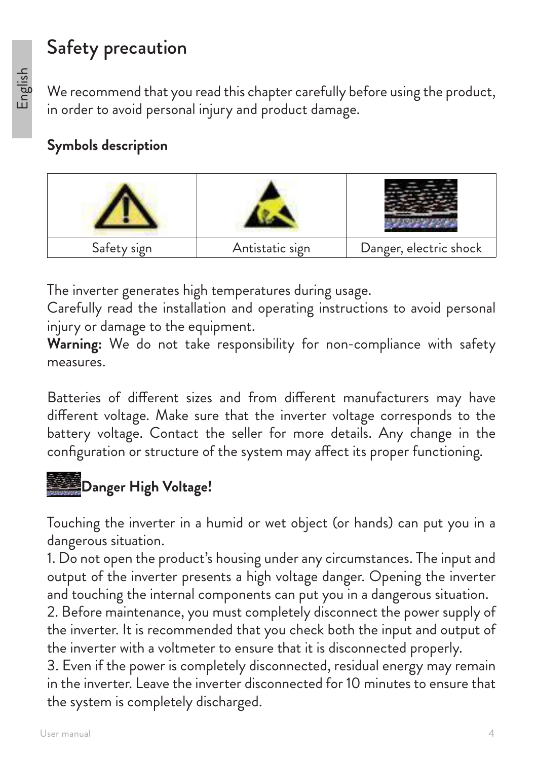## Safety precaution

We recommend that you read this chapter carefully before using the product, in order to avoid personal injury and product damage.

### **Symbols description**



The inverter generates high temperatures during usage.

Carefully read the installation and operating instructions to avoid personal injury or damage to the equipment.

**Warning:** We do not take responsibility for non-compliance with safety measures.

Batteries of different sizes and from different manufacturers may have different voltage. Make sure that the inverter voltage corresponds to the battery voltage. Contact the seller for more details. Any change in the configuration or structure of the system may affect its proper functioning.

# **Danger High Voltage!**

Touching the inverter in a humid or wet object (or hands) can put you in a dangerous situation.

1. Do not open the product's housing under any circumstances. The input and output of the inverter presents a high voltage danger. Opening the inverter and touching the internal components can put you in a dangerous situation.

2. Before maintenance, you must completely disconnect the power supply of the inverter. It is recommended that you check both the input and output of the inverter with a voltmeter to ensure that it is disconnected properly.

3. Even if the power is completely disconnected, residual energy may remain in the inverter. Leave the inverter disconnected for 10 minutes to ensure that the system is completely discharged.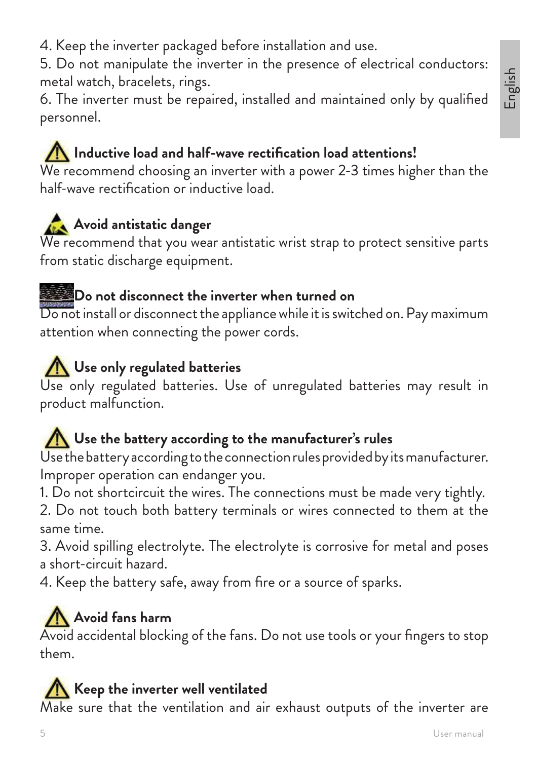4. Keep the inverter packaged before installation and use.

5. Do not manipulate the inverter in the presence of electrical conductors: metal watch, bracelets, rings.

6. The inverter must be repaired, installed and maintained only by qualified personnel.

## **Inductive load and half-wave rectification load attentions!**

We recommend choosing an inverter with a power 2-3 times higher than the half-wave rectification or inductive load.

## **Avoid antistatic danger**

We recommend that you wear antistatic wrist strap to protect sensitive parts from static discharge equipment.

#### **Do not disconnect the inverter when turned on**

Do not install or disconnect the appliance while it is switched on. Pay maximum attention when connecting the power cords.

## **Use only regulated batteries**

Use only regulated batteries. Use of unregulated batteries may result in product malfunction.

### Use the battery according to the manufacturer's rules

Use the battery according to the connection rules provided by its manufacturer. Improper operation can endanger you.

1. Do not shortcircuit the wires. The connections must be made very tightly.

2. Do not touch both battery terminals or wires connected to them at the same time.

3. Avoid spilling electrolyte. The electrolyte is corrosive for metal and poses a short-circuit hazard.

4. Keep the battery safe, away from fire or a source of sparks.

## **Avoid fans harm**

Avoid accidental blocking of the fans. Do not use tools or your fingers to stop them.

### **Keep the inverter well ventilated**

Make sure that the ventilation and air exhaust outputs of the inverter are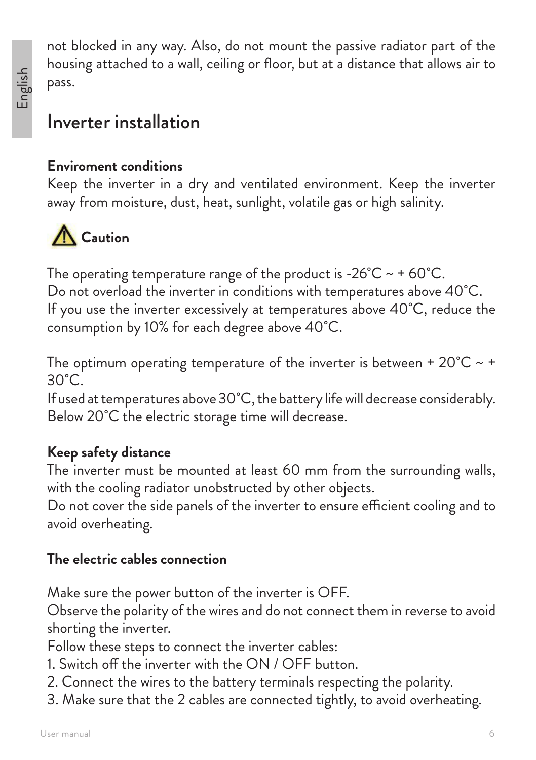not blocked in any way. Also, do not mount the passive radiator part of the housing attached to a wall, ceiling or floor, but at a distance that allows air to pass.

## Inverter installation

### **Enviroment conditions**

Keep the inverter in a dry and ventilated environment. Keep the inverter away from moisture, dust, heat, sunlight, volatile gas or high salinity.



The operating temperature range of the product is -26 $^{\circ}$ C ~ + 60 $^{\circ}$ C. Do not overload the inverter in conditions with temperatures above 40˚C. If you use the inverter excessively at temperatures above 40˚C, reduce the consumption by 10% for each degree above 40˚C.

The optimum operating temperature of the inverter is between +  $20^{\circ}C \sim$  +  $30^{\circ}$ C.

If used at temperatures above 30˚C, the battery life will decrease considerably. Below 20<sup>°</sup>C the electric storage time will decrease.

### **Keep safety distance**

The inverter must be mounted at least 60 mm from the surrounding walls, with the cooling radiator unobstructed by other objects.

Do not cover the side panels of the inverter to ensure efficient cooling and to avoid overheating.

### **The electric cables connection**

Make sure the power button of the inverter is OFF.

Observe the polarity of the wires and do not connect them in reverse to avoid shorting the inverter.

Follow these steps to connect the inverter cables:

- 1. Switch off the inverter with the ON / OFF button.
- 2. Connect the wires to the battery terminals respecting the polarity.
- 3. Make sure that the 2 cables are connected tightly, to avoid overheating.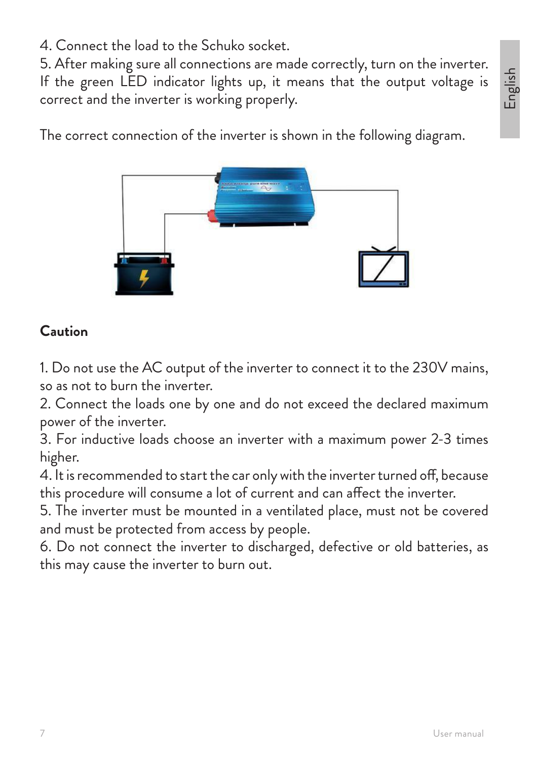4. Connect the load to the Schuko socket.

5. After making sure all connections are made correctly, turn on the inverter. If the green LED indicator lights up, it means that the output voltage is correct and the inverter is working properly.

English

The correct connection of the inverter is shown in the following diagram.



### **Caution**

1. Do not use the AC output of the inverter to connect it to the 230V mains, so as not to burn the inverter.

2. Connect the loads one by one and do not exceed the declared maximum power of the inverter.

3. For inductive loads choose an inverter with a maximum power 2-3 times higher.

4. It is recommended to start the car only with the inverter turned off, because this procedure will consume a lot of current and can affect the inverter.

5. The inverter must be mounted in a ventilated place, must not be covered and must be protected from access by people.

6. Do not connect the inverter to discharged, defective or old batteries, as this may cause the inverter to burn out.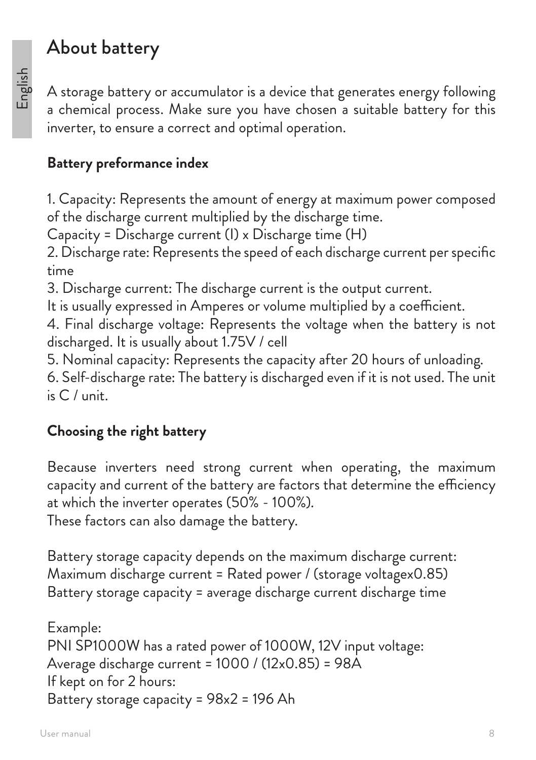## About battery

A storage battery or accumulator is a device that generates energy following a chemical process. Make sure you have chosen a suitable battery for this inverter, to ensure a correct and optimal operation.

### **Battery preformance index**

1. Capacity: Represents the amount of energy at maximum power composed of the discharge current multiplied by the discharge time.

Capacity = Discharge current (I) x Discharge time (H)

2. Discharge rate: Represents the speed of each discharge current per specific time

3. Discharge current: The discharge current is the output current.

It is usually expressed in Amperes or volume multiplied by a coefficient.

4. Final discharge voltage: Represents the voltage when the battery is not discharged. It is usually about 1.75V / cell

5. Nominal capacity: Represents the capacity after 20 hours of unloading.

6. Self-discharge rate: The battery is discharged even if it is not used. The unit is C / unit.

### **Choosing the right battery**

Because inverters need strong current when operating, the maximum capacity and current of the battery are factors that determine the efficiency at which the inverter operates (50% - 100%).

These factors can also damage the battery.

Battery storage capacity depends on the maximum discharge current: Maximum discharge current = Rated power / (storage voltagex0.85) Battery storage capacity = average discharge current discharge time

Example: PNI SP1000W has a rated power of 1000W, 12V input voltage: Average discharge current = 1000 / (12x0.85) = 98A If kept on for 2 hours: Battery storage capacity = 98x2 = 196 Ah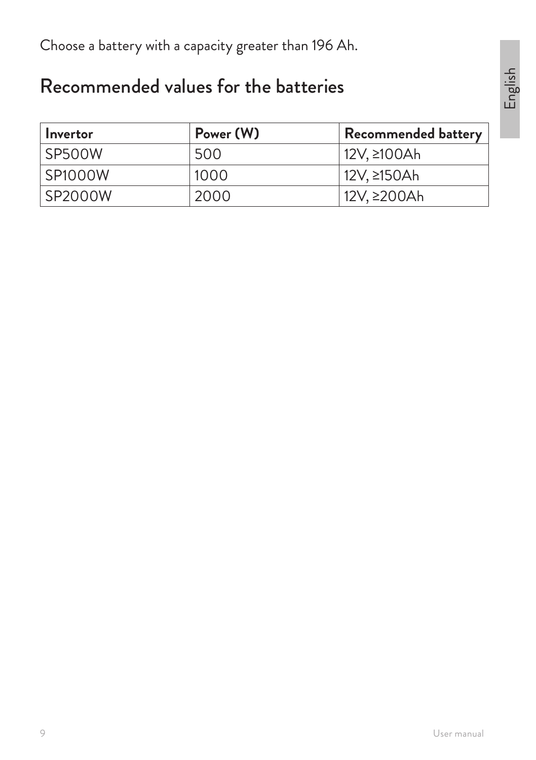Choose a battery with a capacity greater than 196 Ah.

## Recommended values for the batteries

| Invertor       | Power (W) | Recommended battery |
|----------------|-----------|---------------------|
| SP500W         | 500       | 12V, ≥100Ah         |
| <b>SP1000W</b> | 1000      | 12V, ≥150Ah         |
| <b>SP2000W</b> | 2000      | 12V, ≥200Ah         |

English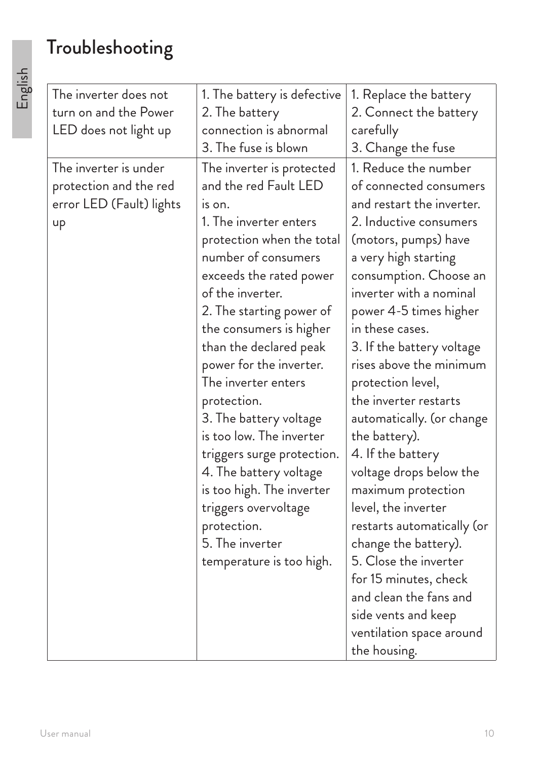# Troubleshooting

| The inverter does not    | 1. The battery is defective | 1. Replace the battery     |
|--------------------------|-----------------------------|----------------------------|
| turn on and the Power    | 2. The battery              | 2. Connect the battery     |
| LED does not light up    | connection is abnormal      | carefully                  |
|                          | 3. The fuse is blown        | 3. Change the fuse         |
| The inverter is under    | The inverter is protected   | 1. Reduce the number       |
| protection and the red   | and the red Fault LED       | of connected consumers     |
| error LED (Fault) lights | IS ON.                      | and restart the inverter.  |
| up                       | 1. The inverter enters      | 2. Inductive consumers     |
|                          | protection when the total   | (motors, pumps) have       |
|                          | number of consumers         | a very high starting       |
|                          | exceeds the rated power     | consumption. Choose an     |
|                          | of the inverter.            | inverter with a nominal    |
|                          | 2. The starting power of    | power 4-5 times higher     |
|                          | the consumers is higher     | in these cases.            |
|                          | than the declared peak      | 3. If the battery voltage  |
|                          | power for the inverter.     | rises above the minimum    |
|                          | The inverter enters         | protection level,          |
|                          | protection.                 | the inverter restarts      |
|                          | 3. The battery voltage      | automatically. (or change  |
|                          | is too low. The inverter    | the battery).              |
|                          | triggers surge protection.  | 4. If the battery          |
|                          | 4. The battery voltage      | voltage drops below the    |
|                          | is too high. The inverter   | maximum protection         |
|                          | triggers overvoltage        | level, the inverter        |
|                          | protection.                 | restarts automatically (or |
|                          | 5. The inverter             | change the battery).       |
|                          | temperature is too high.    | 5. Close the inverter      |
|                          |                             | for 15 minutes, check      |
|                          |                             | and clean the fans and     |
|                          |                             | side vents and keep        |
|                          |                             | ventilation space around   |
|                          |                             | the housing.               |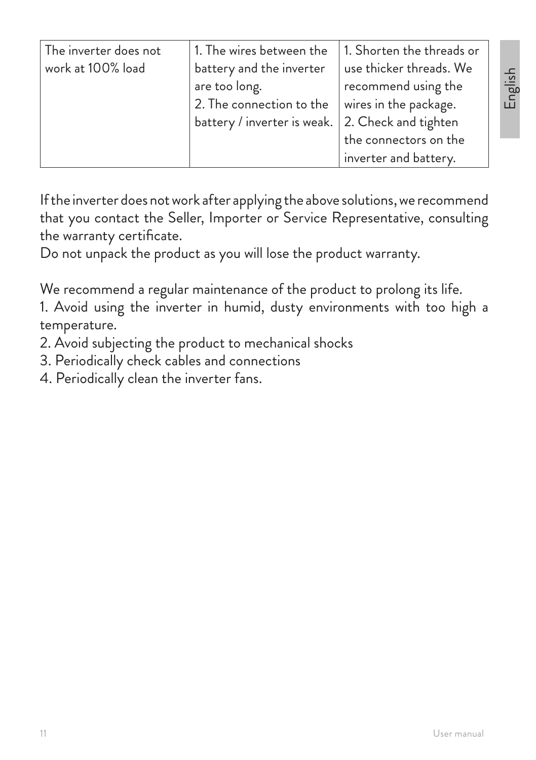| The inverter does not | 1. The wires between the    | 1. Shorten the threads or |
|-----------------------|-----------------------------|---------------------------|
| work at 100% load     | battery and the inverter    | use thicker threads. We   |
|                       | are too long.               | recommend using the       |
|                       | 2. The connection to the    | wires in the package.     |
|                       | battery / inverter is weak. | 2. Check and tighten      |
|                       |                             | the connectors on the     |
|                       |                             | inverter and battery.     |

If the inverter does not work after applying the above solutions, we recommend that you contact the Seller, Importer or Service Representative, consulting the warranty certificate.

Do not unpack the product as you will lose the product warranty.

We recommend a regular maintenance of the product to prolong its life.

1. Avoid using the inverter in humid, dusty environments with too high a temperature.

- 2. Avoid subjecting the product to mechanical shocks
- 3. Periodically check cables and connections
- 4. Periodically clean the inverter fans.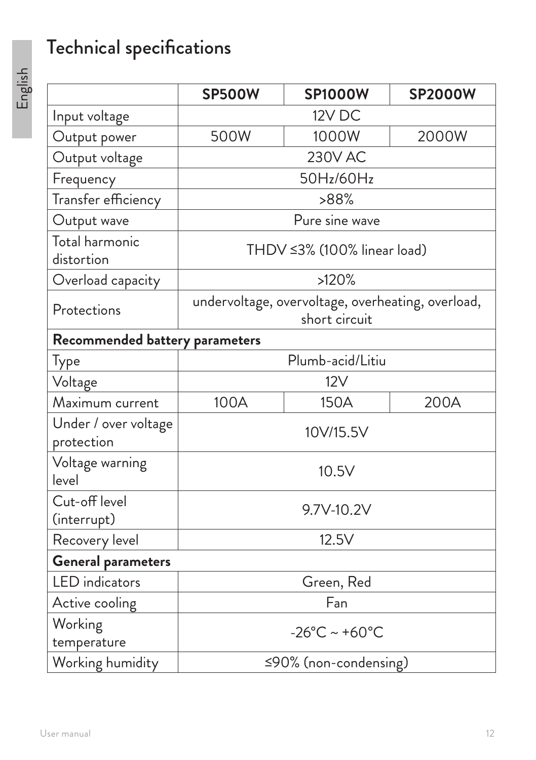# Technical specifications

|                                    | <b>SP500W</b>                                                      | <b>SP1000W</b>              | <b>SP2000W</b> |
|------------------------------------|--------------------------------------------------------------------|-----------------------------|----------------|
| Input voltage                      | 12V DC                                                             |                             |                |
| Output power                       | 500W                                                               | 1000W                       | 2000W          |
| Output voltage                     |                                                                    | <b>230V AC</b>              |                |
| Frequency                          |                                                                    | 50Hz/60Hz                   |                |
| Transfer efficiency                |                                                                    | >88%                        |                |
| Output wave                        |                                                                    | Pure sine wave              |                |
| Total harmonic<br>distortion       |                                                                    | THDV ≤3% (100% linear load) |                |
| Overload capacity                  |                                                                    | >120%                       |                |
| Protections                        | undervoltage, overvoltage, overheating, overload,<br>short circuit |                             |                |
| Recommended battery parameters     |                                                                    |                             |                |
| Type                               |                                                                    | Plumb-acid/Litiu            |                |
| Voltage                            |                                                                    | 12V                         |                |
| Maximum current                    | 100A                                                               | 150A                        | 200A           |
| Under / over voltage<br>protection | 10V/15.5V                                                          |                             |                |
| Voltage warning<br>level           | 10.5V                                                              |                             |                |
| Cut-off level<br>(interrupt)       | 9.7V-10.2V                                                         |                             |                |
| Recovery level                     | 12.5V                                                              |                             |                |
| <b>General parameters</b>          |                                                                    |                             |                |
| <b>LED</b> indicators              | Green, Red                                                         |                             |                |
| Active cooling                     | Fan                                                                |                             |                |
| Working<br>temperature             | $-26^{\circ}$ C ~ +60 $^{\circ}$ C                                 |                             |                |
| Working humidity                   | $\leq$ 90% (non-condensing)                                        |                             |                |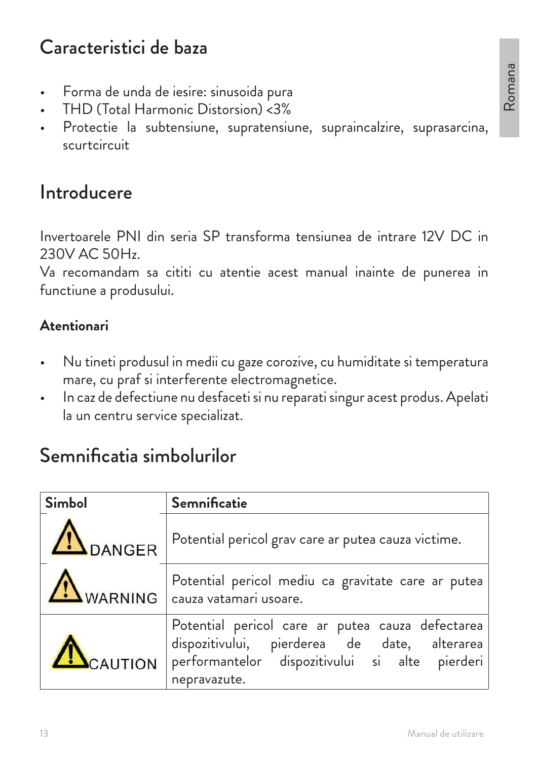## Caracteristici de baza

- Forma de unda de iesire: sinusoida pura
- THD (Total Harmonic Distorsion) <3%
- Protectie la subtensiune, supratensiune, supraincalzire, suprasarcina, scurtcircuit

## Introducere

Invertoarele PNI din seria SP transforma tensiunea de intrare 12V DC in 230V AC 50Hz.

Va recomandam sa cititi cu atentie acest manual inainte de punerea in functiune a produsului.

#### **Atentionari**

- Nu tineti produsul in medii cu gaze corozive, cu humiditate si temperatura mare, cu praf si interferente electromagnetice.
- In caz de defectiune nu desfaceti si nu reparati singur acest produs. Apelati la un centru service specializat.

## Semnificatia simbolurilor

| <b>Simbol</b> | <b>Semnificatie</b>                                                                                                                                                        |  |  |
|---------------|----------------------------------------------------------------------------------------------------------------------------------------------------------------------------|--|--|
| DANGER        | Potential pericol grav care ar putea cauza victime.                                                                                                                        |  |  |
|               | Potential pericol mediu ca gravitate care ar putea<br>WARNING cauza vatamari usoare.                                                                                       |  |  |
|               | Potential pericol care ar putea cauza defectarea<br>dispozitivului, pierderea de date, alterarea<br>CAUTION Performantelor dispozitivului si alte pierderi<br>nepravazute. |  |  |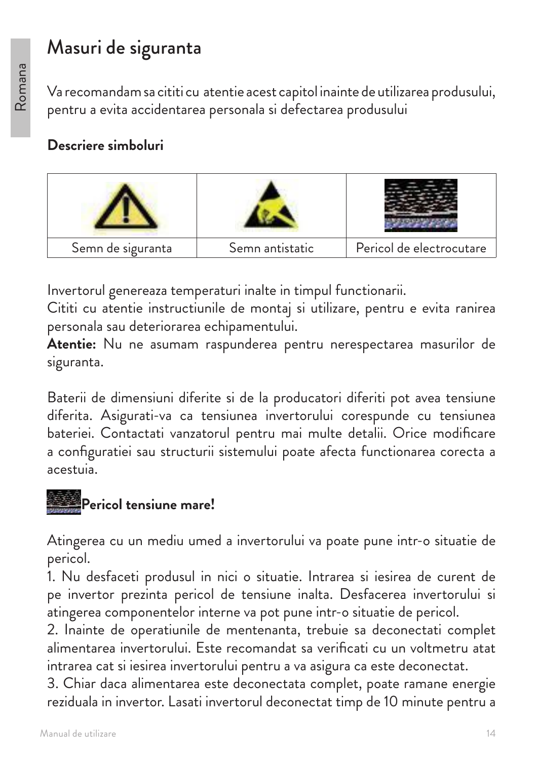## Masuri de siguranta

Va recomandam sa cititi cu atentie acest capitol inainte de utilizarea produsului, pentru a evita accidentarea personala si defectarea produsului

#### **Descriere simboluri**



Invertorul genereaza temperaturi inalte in timpul functionarii.

Cititi cu atentie instructiunile de montaj si utilizare, pentru e evita ranirea personala sau deteriorarea echipamentului.

**Atentie:** Nu ne asumam raspunderea pentru nerespectarea masurilor de siguranta.

Baterii de dimensiuni diferite si de la producatori diferiti pot avea tensiune diferita. Asigurati-va ca tensiunea invertorului corespunde cu tensiunea bateriei. Contactati vanzatorul pentru mai multe detalii. Orice modificare a configuratiei sau structurii sistemului poate afecta functionarea corecta a acestuia.

## **Pericol tensiune mare!**

Atingerea cu un mediu umed a invertorului va poate pune intr-o situatie de pericol.

1. Nu desfaceti produsul in nici o situatie. Intrarea si iesirea de curent de pe invertor prezinta pericol de tensiune inalta. Desfacerea invertorului si atingerea componentelor interne va pot pune intr-o situatie de pericol.

2. Inainte de operatiunile de mentenanta, trebuie sa deconectati complet alimentarea invertorului. Este recomandat sa verificati cu un voltmetru atat intrarea cat si iesirea invertorului pentru a va asigura ca este deconectat.

3. Chiar daca alimentarea este deconectata complet, poate ramane energie reziduala in invertor. Lasati invertorul deconectat timp de 10 minute pentru a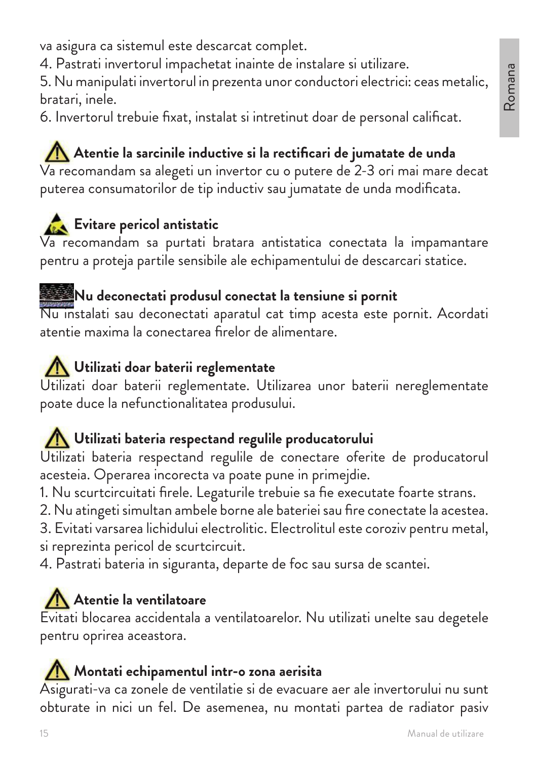va asigura ca sistemul este descarcat complet.

4. Pastrati invertorul impachetat inainte de instalare si utilizare.

5. Nu manipulati invertorul in prezenta unor conductori electrici: ceas metalic, bratari, inele.

6. Invertorul trebuie fixat, instalat si intretinut doar de personal calificat.

## Atentie la sarcinile inductive si la rectificari de jumatate de unda

Va recomandam sa alegeti un invertor cu o putere de 2-3 ori mai mare decat puterea consumatorilor de tip inductiv sau jumatate de unda modificata.

## **Evitare pericol antistatic**

Va recomandam sa purtati bratara antistatica conectata la impamantare pentru a proteja partile sensibile ale echipamentului de descarcari statice.

### **Nu deconectati produsul conectat la tensiune si pornit**

Nu instalati sau deconectati aparatul cat timp acesta este pornit. Acordati atentie maxima la conectarea firelor de alimentare.

### **Utilizati doar baterii reglementate**

Utilizati doar baterii reglementate. Utilizarea unor baterii nereglementate poate duce la nefunctionalitatea produsului.

### **Utilizati bateria respectand regulile producatorului**

Utilizati bateria respectand regulile de conectare oferite de producatorul acesteia. Operarea incorecta va poate pune in primejdie.

1. Nu scurtcircuitati firele. Legaturile trebuie sa fie executate foarte strans.

2. Nu atingeti simultan ambele borne ale bateriei sau fire conectate la acestea.

3. Evitati varsarea lichidului electrolitic. Electrolitul este coroziv pentru metal, si reprezinta pericol de scurtcircuit.

4. Pastrati bateria in siguranta, departe de foc sau sursa de scantei.

## **Atentie la ventilatoare**

Evitati blocarea accidentala a ventilatoarelor. Nu utilizati unelte sau degetele pentru oprirea aceastora.

#### **Montati echipamentul intr-o zona aerisita**

Asigurati-va ca zonele de ventilatie si de evacuare aer ale invertorului nu sunt obturate in nici un fel. De asemenea, nu montati partea de radiator pasiv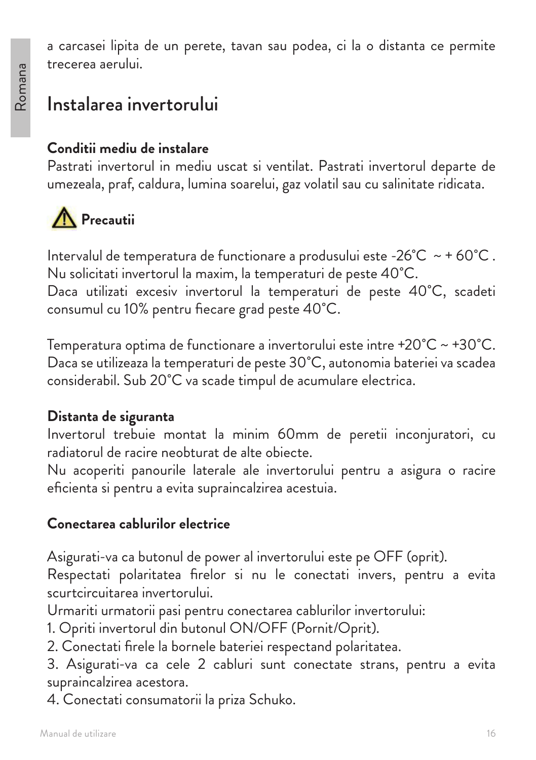a carcasei lipita de un perete, tavan sau podea, ci la o distanta ce permite trecerea aerului.

## Instalarea invertorului

#### **Conditii mediu de instalare**

Pastrati invertorul in mediu uscat si ventilat. Pastrati invertorul departe de umezeala, praf, caldura, lumina soarelui, gaz volatil sau cu salinitate ridicata.



Intervalul de temperatura de functionare a produsului este -26 $^{\circ}$ C ~ + 60 $^{\circ}$ C. Nu solicitati invertorul la maxim, la temperaturi de peste 40˚C.

Daca utilizati excesiv invertorul la temperaturi de peste 40˚C, scadeti consumul cu 10% pentru fiecare grad peste 40˚C.

Temperatura optima de functionare a invertorului este intre +20˚C ~ +30˚C. Daca se utilizeaza la temperaturi de peste 30˚C, autonomia bateriei va scadea considerabil. Sub 20˚C va scade timpul de acumulare electrica.

#### **Distanta de siguranta**

Invertorul trebuie montat la minim 60mm de peretii inconjuratori, cu radiatorul de racire neobturat de alte obiecte.

Nu acoperiti panourile laterale ale invertorului pentru a asigura o racire eficienta si pentru a evita supraincalzirea acestuia.

#### **Conectarea cablurilor electrice**

Asigurati-va ca butonul de power al invertorului este pe OFF (oprit).

Respectati polaritatea firelor si nu le conectati invers, pentru a evita scurtcircuitarea invertorului.

Urmariti urmatorii pasi pentru conectarea cablurilor invertorului:

1. Opriti invertorul din butonul ON/OFF (Pornit/Oprit).

2. Conectati firele la bornele bateriei respectand polaritatea.

3. Asigurati-va ca cele 2 cabluri sunt conectate strans, pentru a evita supraincalzirea acestora.

4. Conectati consumatorii la priza Schuko.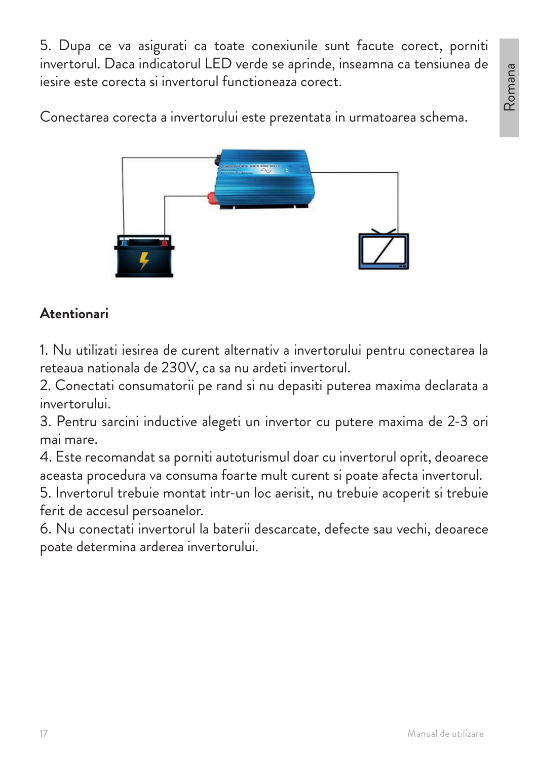5. Dupa ce va asigurati ca toate conexiunile sunt facute corect, porniti invertorul. Daca indicatorul LED verde se aprinde, inseamna ca tensiunea de iesire este corecta si invertorul functioneaza corect.

Conectarea corecta a invertorului este prezentata in urmatoarea schema.



### **Atentionari**

1. Nu utilizati iesirea de curent alternativ a invertorului pentru conectarea la reteaua nationala de 230V, ca sa nu ardeti invertorul.

2. Conectati consumatorii pe rand si nu depasiti puterea maxima declarata a invertorului.

3. Pentru sarcini inductive alegeti un invertor cu putere maxima de 2-3 ori mai mare.

4. Este recomandat sa porniti autoturismul doar cu invertorul oprit, deoarece aceasta procedura va consuma foarte mult curent si poate afecta invertorul.

5. Invertorul trebuie montat intr-un loc aerisit, nu trebuie acoperit si trebuie ferit de accesul persoanelor.

6. Nu conectati invertorul la baterii descarcate, defecte sau vechi, deoarece poate determina arderea invertorului.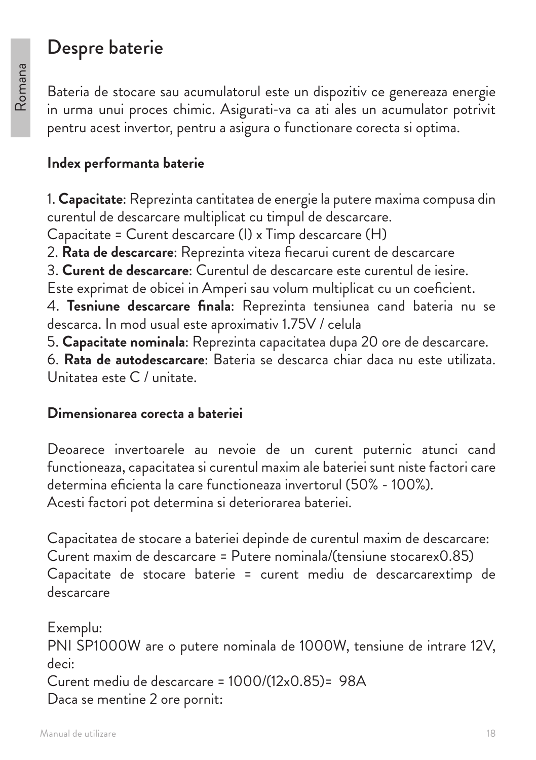## Despre baterie

Bateria de stocare sau acumulatorul este un dispozitiv ce genereaza energie in urma unui proces chimic. Asigurati-va ca ati ales un acumulator potrivit pentru acest invertor, pentru a asigura o functionare corecta si optima.

#### **Index performanta baterie**

1. **Capacitate**: Reprezinta cantitatea de energie la putere maxima compusa din curentul de descarcare multiplicat cu timpul de descarcare. Capacitate = Curent descarcare (I) x Timp descarcare (H) 2. **Rata de descarcare**: Reprezinta viteza fiecarui curent de descarcare 3. **Curent de descarcare**: Curentul de descarcare este curentul de iesire. Este exprimat de obicei in Amperi sau volum multiplicat cu un coeficient. 4. **Tesniune descarcare finala**: Reprezinta tensiunea cand bateria nu se descarca. In mod usual este aproximativ 1.75V / celula 5. **Capacitate nominala**: Reprezinta capacitatea dupa 20 ore de descarcare. 6. **Rata de autodescarcare**: Bateria se descarca chiar daca nu este utilizata. Unitatea este C / unitate.

#### **Dimensionarea corecta a bateriei**

Deoarece invertoarele au nevoie de un curent puternic atunci cand functioneaza, capacitatea si curentul maxim ale bateriei sunt niste factori care determina eficienta la care functioneaza invertorul (50% - 100%). Acesti factori pot determina si deteriorarea bateriei.

Capacitatea de stocare a bateriei depinde de curentul maxim de descarcare: Curent maxim de descarcare = Putere nominala/(tensiune stocarex0.85) Capacitate de stocare baterie = curent mediu de descarcarextimp de descarcare

Exemplu: PNI SP1000W are o putere nominala de 1000W, tensiune de intrare 12V, deci: Curent mediu de descarcare = 1000/(12x0.85)= 98A Daca se mentine 2 ore pornit: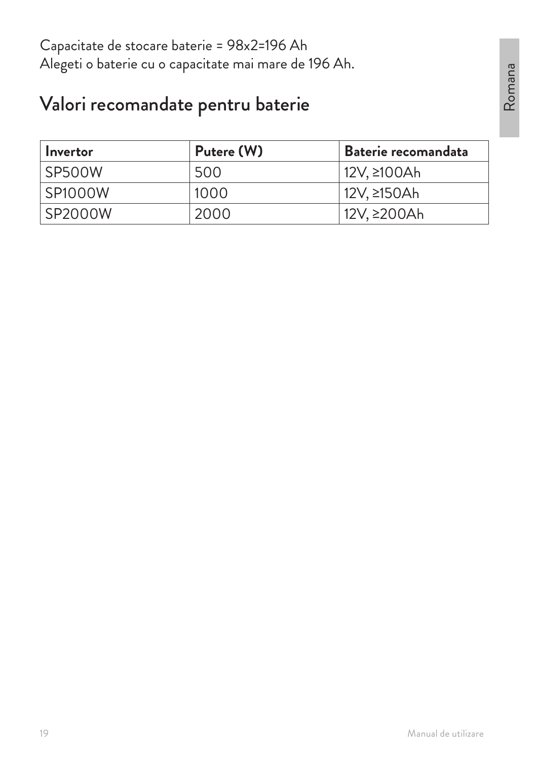Capacitate de stocare baterie = 98x2=196 Ah Alegeti o baterie cu o capacitate mai mare de 196 Ah.

## Valori recomandate pentru baterie

| Invertor       | Putere (W) | Baterie recomandata |
|----------------|------------|---------------------|
| <b>SP500W</b>  | 500        | 12V, ≥100Ah         |
| <b>SP1000W</b> | 1000       | 12V, ≥150Ah         |
| SP2000W        | 2000       | 12V, ≥200Ah         |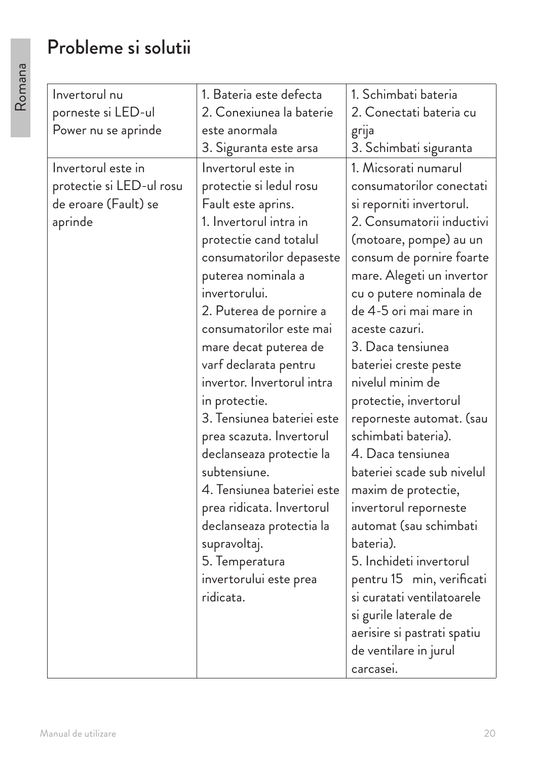## Probleme si solutii

| Invertorul nu            | 1. Bateria este defecta    | 1. Schimbati bateria        |
|--------------------------|----------------------------|-----------------------------|
| porneste si LED-ul       | 2. Conexiunea la baterie   | 2. Conectati bateria cu     |
| Power nu se aprinde      | este anormala              | grija                       |
|                          | 3. Siguranta este arsa     | 3. Schimbati siguranta      |
| Invertorul este in       | Invertorul este in         | 1. Micsorati numarul        |
| protectie si LED-ul rosu | protectie si ledul rosu    | consumatorilor conectati    |
| de eroare (Fault) se     | Fault este aprins.         | si reporniti invertorul.    |
| aprinde                  | 1. Invertorul intra in     | 2. Consumatorii inductivi   |
|                          | protectie cand totalul     | (motoare, pompe) au un      |
|                          | consumatorilor depaseste   | consum de pornire foarte    |
|                          | puterea nominala a         | mare. Alegeti un invertor   |
|                          | invertorului.              | cu o putere nominala de     |
|                          | 2. Puterea de pornire a    | de 4-5 ori mai mare in      |
|                          | consumatorilor este mai    | aceste cazuri.              |
|                          | mare decat puterea de      | 3. Daca tensiunea           |
|                          | varf declarata pentru      | bateriei creste peste       |
|                          | invertor. Invertorul intra | nivelul minim de            |
|                          | in protectie.              | protectie, invertorul       |
|                          | 3. Tensiunea bateriei este | reporneste automat. (sau    |
|                          | prea scazuta. Invertorul   | schimbati bateria).         |
|                          | declanseaza protectie la   | 4. Daca tensiunea           |
|                          | subtensiune.               | bateriei scade sub nivelul  |
|                          | 4. Tensiunea bateriei este | maxim de protectie,         |
|                          | prea ridicata. Invertorul  | invertorul reporneste       |
|                          | declanseaza protectia la   | automat (sau schimbati      |
|                          | supravoltaj.               | bateria).                   |
|                          | 5. Temperatura             | 5. Inchideti invertorul     |
|                          | invertorului este prea     | pentru 15 min, verificati   |
|                          | ridicata.                  | si curatati ventilatoarele  |
|                          |                            | si gurile laterale de       |
|                          |                            | aerisire si pastrati spatiu |
|                          |                            | de ventilare in jurul       |
|                          |                            | carcasei.                   |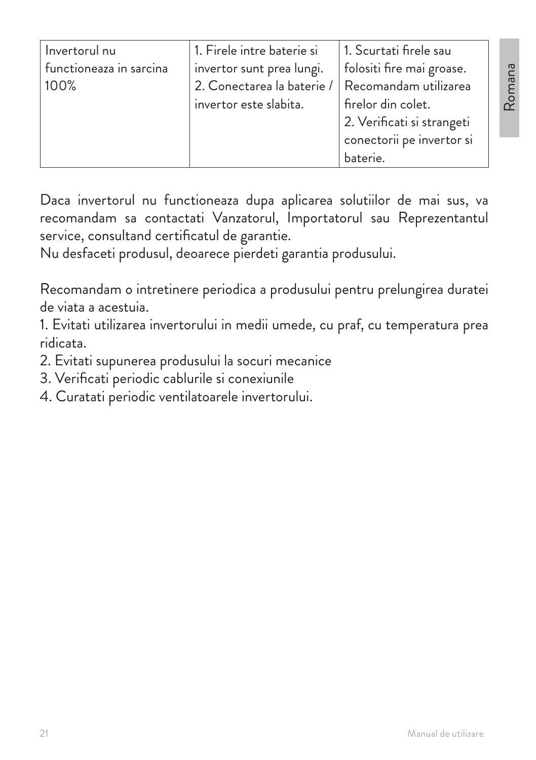| Invertorul nu           | 1. Firele intre baterie si<br>1. Scurtati firele sau |                           |
|-------------------------|------------------------------------------------------|---------------------------|
| functioneaza in sarcina | invertor sunt prea lungi.                            | folositi fire mai groase. |
| 100%                    | 2. Conectarea la baterie /                           | Recomandam utilizarea     |
|                         | firelor din colet.<br>invertor este slabita.         |                           |
|                         | 2. Verificati si strangeti                           |                           |
|                         | conectorii pe invertor si                            |                           |
|                         |                                                      | baterie.                  |

Daca invertorul nu functioneaza dupa aplicarea solutiilor de mai sus, va recomandam sa contactati Vanzatorul, Importatorul sau Reprezentantul service, consultand certificatul de garantie.

Nu desfaceti produsul, deoarece pierdeti garantia produsului.

Recomandam o intretinere periodica a produsului pentru prelungirea duratei de viata a acestuia.

1. Evitati utilizarea invertorului in medii umede, cu praf, cu temperatura prea ridicata.

- 2. Evitati supunerea produsului la socuri mecanice
- 3. Verificati periodic cablurile si conexiunile
- 4. Curatati periodic ventilatoarele invertorului.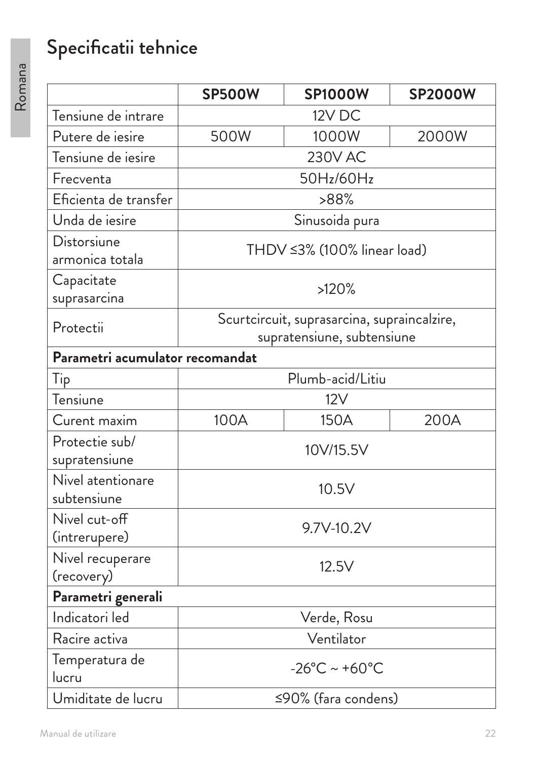# Specificatii tehnice

|                                  | <b>SP500W</b>                                                             | <b>SP1000W</b>              | <b>SP2000W</b> |
|----------------------------------|---------------------------------------------------------------------------|-----------------------------|----------------|
| Tensiune de intrare              | 12V DC                                                                    |                             |                |
| Putere de iesire                 | 500W<br>1000W<br>2000W                                                    |                             |                |
| Tensiune de iesire               |                                                                           | <b>230V AC</b>              |                |
| Frecventa                        |                                                                           | 50Hz/60Hz                   |                |
| Eficienta de transfer            |                                                                           | >88%                        |                |
| Unda de iesire                   |                                                                           | Sinusoida pura              |                |
| Distorsiune<br>armonica totala   |                                                                           | THDV ≤3% (100% linear load) |                |
| Capacitate<br>suprasarcina       |                                                                           | >120%                       |                |
| Protectii                        | Scurtcircuit, suprasarcina, supraincalzire,<br>supratensiune, subtensiune |                             |                |
| Parametri acumulator recomandat  |                                                                           |                             |                |
| Tip                              |                                                                           | Plumb-acid/Litiu            |                |
| Tensiune                         |                                                                           | 12V                         |                |
| Curent maxim                     | 100A                                                                      | 150A                        | 200A           |
| Protectie sub/<br>supratensiune  | 10V/15.5V                                                                 |                             |                |
| Nivel atentionare<br>subtensiune | 10.5V                                                                     |                             |                |
| Nivel cut-off<br>(intrerupere)   | 9.7V-10.2V                                                                |                             |                |
| Nivel recuperare<br>(recovery)   | 12.5V                                                                     |                             |                |
| Parametri generali               |                                                                           |                             |                |
| Indicatori led                   | Verde, Rosu                                                               |                             |                |
| Racire activa                    | Ventilator                                                                |                             |                |
| Temperatura de<br>lucru          | $-26^{\circ}$ C ~ +60 $^{\circ}$ C                                        |                             |                |
| Umiditate de lucru               | ≤90% (fara condens)                                                       |                             |                |